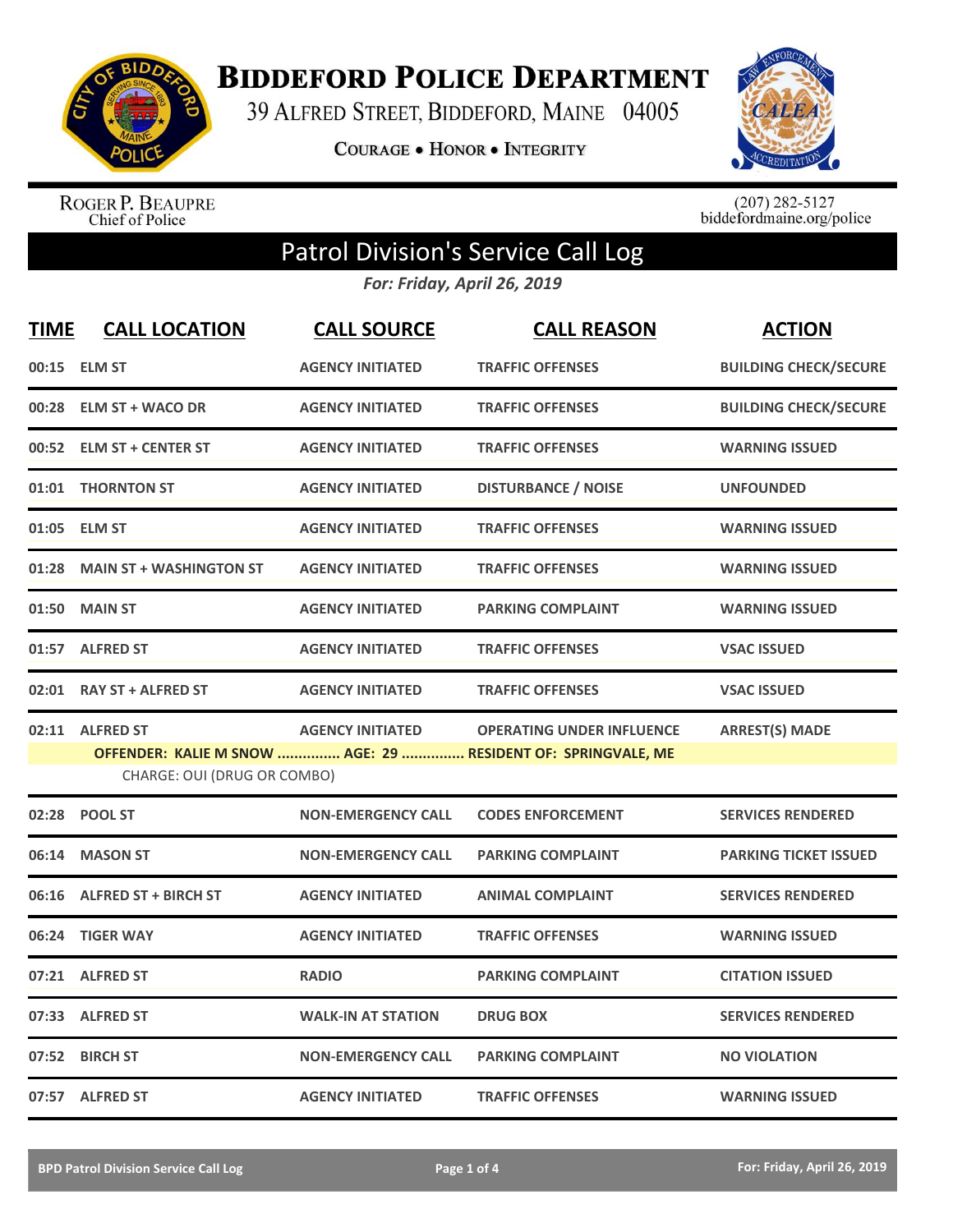

**BIDDEFORD POLICE DEPARTMENT** 

39 ALFRED STREET, BIDDEFORD, MAINE 04005

**COURAGE . HONOR . INTEGRITY** 



ROGER P. BEAUPRE<br>Chief of Police

 $(207)$  282-5127<br>biddefordmaine.org/police

## Patrol Division's Service Call Log

*For: Friday, April 26, 2019*

| <b>TIME</b> | <b>CALL LOCATION</b>                           | <b>CALL SOURCE</b>        | <b>CALL REASON</b>                                                                               | <b>ACTION</b>                |
|-------------|------------------------------------------------|---------------------------|--------------------------------------------------------------------------------------------------|------------------------------|
|             | 00:15 ELM ST                                   | <b>AGENCY INITIATED</b>   | <b>TRAFFIC OFFENSES</b>                                                                          | <b>BUILDING CHECK/SECURE</b> |
|             | 00:28 ELM ST + WACO DR                         | <b>AGENCY INITIATED</b>   | <b>TRAFFIC OFFENSES</b>                                                                          | <b>BUILDING CHECK/SECURE</b> |
|             | 00:52 ELM ST + CENTER ST                       | <b>AGENCY INITIATED</b>   | <b>TRAFFIC OFFENSES</b>                                                                          | <b>WARNING ISSUED</b>        |
|             | 01:01 THORNTON ST                              | <b>AGENCY INITIATED</b>   | <b>DISTURBANCE / NOISE</b>                                                                       | <b>UNFOUNDED</b>             |
| 01:05       | <b>ELM ST</b>                                  | <b>AGENCY INITIATED</b>   | <b>TRAFFIC OFFENSES</b>                                                                          | <b>WARNING ISSUED</b>        |
| 01:28       | <b>MAIN ST + WASHINGTON ST</b>                 | <b>AGENCY INITIATED</b>   | <b>TRAFFIC OFFENSES</b>                                                                          | <b>WARNING ISSUED</b>        |
| 01:50       | <b>MAIN ST</b>                                 | <b>AGENCY INITIATED</b>   | <b>PARKING COMPLAINT</b>                                                                         | <b>WARNING ISSUED</b>        |
|             | 01:57 ALFRED ST                                | <b>AGENCY INITIATED</b>   | <b>TRAFFIC OFFENSES</b>                                                                          | <b>VSAC ISSUED</b>           |
|             | 02:01 RAY ST + ALFRED ST                       | <b>AGENCY INITIATED</b>   | <b>TRAFFIC OFFENSES</b>                                                                          | <b>VSAC ISSUED</b>           |
|             | 02:11 ALFRED ST<br>CHARGE: OUI (DRUG OR COMBO) | <b>AGENCY INITIATED</b>   | <b>OPERATING UNDER INFLUENCE</b><br>OFFENDER: KALIE M SNOW  AGE: 29  RESIDENT OF: SPRINGVALE, ME | <b>ARREST(S) MADE</b>        |
|             | 02:28 POOL ST                                  | <b>NON-EMERGENCY CALL</b> | <b>CODES ENFORCEMENT</b>                                                                         | <b>SERVICES RENDERED</b>     |
| 06:14       | <b>MASON ST</b>                                | <b>NON-EMERGENCY CALL</b> | <b>PARKING COMPLAINT</b>                                                                         | <b>PARKING TICKET ISSUED</b> |
|             | 06:16 ALFRED ST + BIRCH ST                     | <b>AGENCY INITIATED</b>   | <b>ANIMAL COMPLAINT</b>                                                                          | <b>SERVICES RENDERED</b>     |
| 06:24       | <b>TIGER WAY</b>                               | <b>AGENCY INITIATED</b>   | <b>TRAFFIC OFFENSES</b>                                                                          | <b>WARNING ISSUED</b>        |
| 07:21       | <b>ALFRED ST</b>                               | <b>RADIO</b>              | <b>PARKING COMPLAINT</b>                                                                         | <b>CITATION ISSUED</b>       |
|             | 07:33 ALFRED ST                                | <b>WALK-IN AT STATION</b> | <b>DRUG BOX</b>                                                                                  | <b>SERVICES RENDERED</b>     |
| 07:52       | <b>BIRCH ST</b>                                | <b>NON-EMERGENCY CALL</b> | <b>PARKING COMPLAINT</b>                                                                         | <b>NO VIOLATION</b>          |
|             | 07:57 ALFRED ST                                | <b>AGENCY INITIATED</b>   | <b>TRAFFIC OFFENSES</b>                                                                          | <b>WARNING ISSUED</b>        |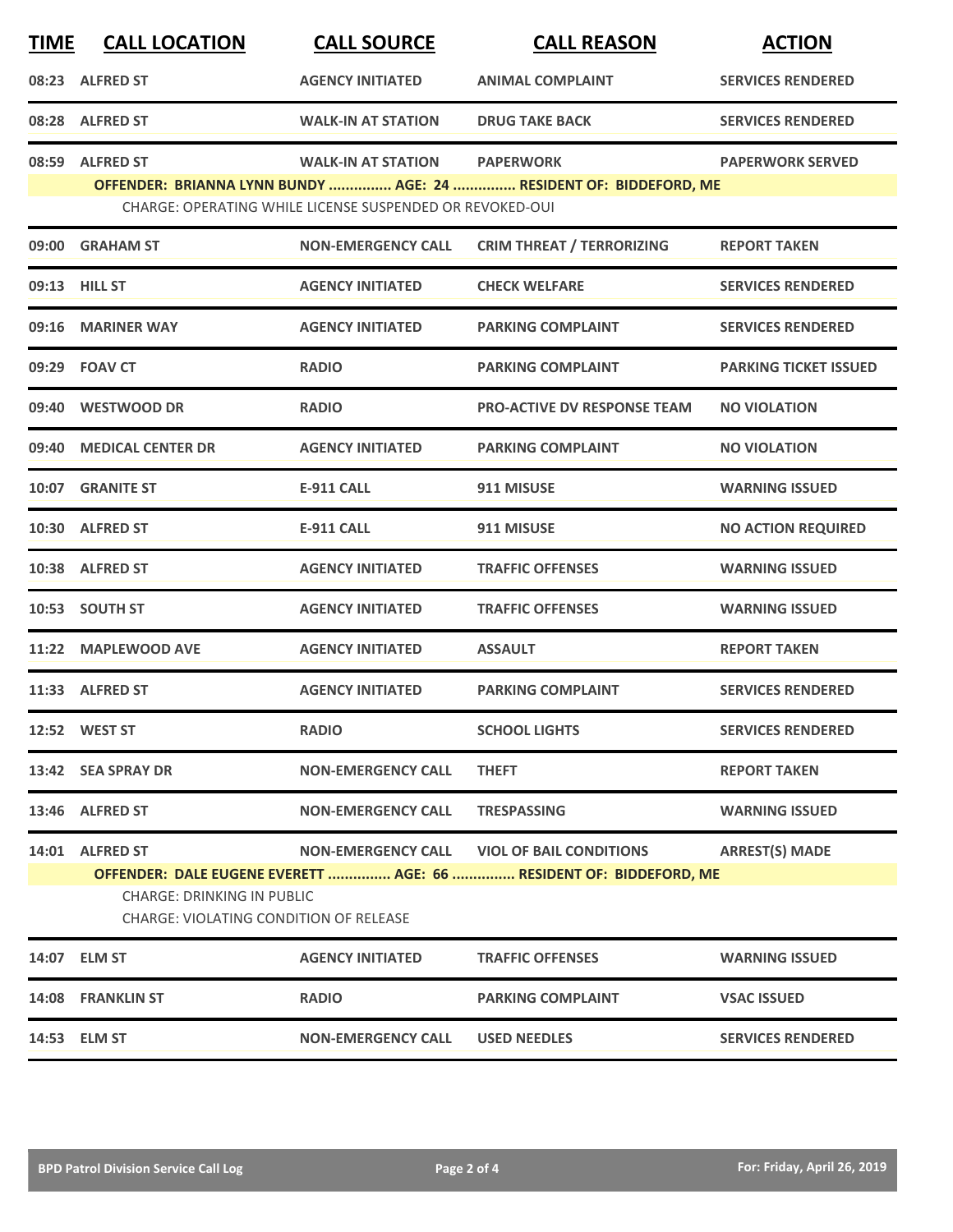| <b>TIME</b> | <b>CALL LOCATION</b>                                                               | <b>CALL SOURCE</b>                                       | <b>CALL REASON</b>                                                 | <b>ACTION</b>                |
|-------------|------------------------------------------------------------------------------------|----------------------------------------------------------|--------------------------------------------------------------------|------------------------------|
|             | 08:23 ALFRED ST                                                                    | <b>AGENCY INITIATED</b>                                  | <b>ANIMAL COMPLAINT</b>                                            | <b>SERVICES RENDERED</b>     |
|             | 08:28 ALFRED ST                                                                    | <b>WALK-IN AT STATION</b>                                | <b>DRUG TAKE BACK</b>                                              | <b>SERVICES RENDERED</b>     |
| 08:59       | <b>ALFRED ST</b>                                                                   | <b>WALK-IN AT STATION</b>                                | <b>PAPERWORK</b>                                                   | <b>PAPERWORK SERVED</b>      |
|             |                                                                                    | CHARGE: OPERATING WHILE LICENSE SUSPENDED OR REVOKED-OUI | OFFENDER: BRIANNA LYNN BUNDY  AGE: 24  RESIDENT OF: BIDDEFORD, ME  |                              |
|             | 09:00 GRAHAM ST                                                                    | <b>NON-EMERGENCY CALL</b>                                | <b>CRIM THREAT / TERRORIZING</b>                                   | <b>REPORT TAKEN</b>          |
|             | 09:13 HILL ST                                                                      | <b>AGENCY INITIATED</b>                                  | <b>CHECK WELFARE</b>                                               | <b>SERVICES RENDERED</b>     |
| 09:16       | <b>MARINER WAY</b>                                                                 | <b>AGENCY INITIATED</b>                                  | <b>PARKING COMPLAINT</b>                                           | <b>SERVICES RENDERED</b>     |
|             | 09:29 FOAV CT                                                                      | <b>RADIO</b>                                             | <b>PARKING COMPLAINT</b>                                           | <b>PARKING TICKET ISSUED</b> |
|             | 09:40 WESTWOOD DR                                                                  | <b>RADIO</b>                                             | <b>PRO-ACTIVE DV RESPONSE TEAM</b>                                 | <b>NO VIOLATION</b>          |
| 09:40       | <b>MEDICAL CENTER DR</b>                                                           | <b>AGENCY INITIATED</b>                                  | <b>PARKING COMPLAINT</b>                                           | <b>NO VIOLATION</b>          |
|             | 10:07 GRANITE ST                                                                   | <b>E-911 CALL</b>                                        | 911 MISUSE                                                         | <b>WARNING ISSUED</b>        |
|             | 10:30 ALFRED ST                                                                    | <b>E-911 CALL</b>                                        | 911 MISUSE                                                         | <b>NO ACTION REQUIRED</b>    |
|             | 10:38 ALFRED ST                                                                    | <b>AGENCY INITIATED</b>                                  | <b>TRAFFIC OFFENSES</b>                                            | <b>WARNING ISSUED</b>        |
|             | 10:53 SOUTH ST                                                                     | <b>AGENCY INITIATED</b>                                  | <b>TRAFFIC OFFENSES</b>                                            | <b>WARNING ISSUED</b>        |
| 11:22       | <b>MAPLEWOOD AVE</b>                                                               | <b>AGENCY INITIATED</b>                                  | <b>ASSAULT</b>                                                     | <b>REPORT TAKEN</b>          |
|             | 11:33 ALFRED ST                                                                    | <b>AGENCY INITIATED</b>                                  | <b>PARKING COMPLAINT</b>                                           | <b>SERVICES RENDERED</b>     |
|             | 12:52 WEST ST                                                                      | <b>RADIO</b>                                             | <b>SCHOOL LIGHTS</b>                                               | <b>SERVICES RENDERED</b>     |
|             | 13:42 SEA SPRAY DR                                                                 | <b>NON-EMERGENCY CALL</b>                                | <b>THEFT</b>                                                       | <b>REPORT TAKEN</b>          |
|             | 13:46 ALFRED ST                                                                    | <b>NON-EMERGENCY CALL</b>                                | <b>TRESPASSING</b>                                                 | <b>WARNING ISSUED</b>        |
|             | 14:01 ALFRED ST                                                                    |                                                          | NON-EMERGENCY CALL VIOL OF BAIL CONDITIONS                         | <b>ARREST(S) MADE</b>        |
|             | <b>CHARGE: DRINKING IN PUBLIC</b><br><b>CHARGE: VIOLATING CONDITION OF RELEASE</b> |                                                          | OFFENDER: DALE EUGENE EVERETT  AGE: 66  RESIDENT OF: BIDDEFORD, ME |                              |
|             | 14:07 ELM ST                                                                       | <b>AGENCY INITIATED</b>                                  | <b>TRAFFIC OFFENSES</b>                                            | <b>WARNING ISSUED</b>        |
|             | 14:08 FRANKLIN ST                                                                  | <b>RADIO</b>                                             | <b>PARKING COMPLAINT</b>                                           | <b>VSAC ISSUED</b>           |
|             | 14:53 ELM ST                                                                       | <b>NON-EMERGENCY CALL</b>                                | <b>USED NEEDLES</b>                                                | <b>SERVICES RENDERED</b>     |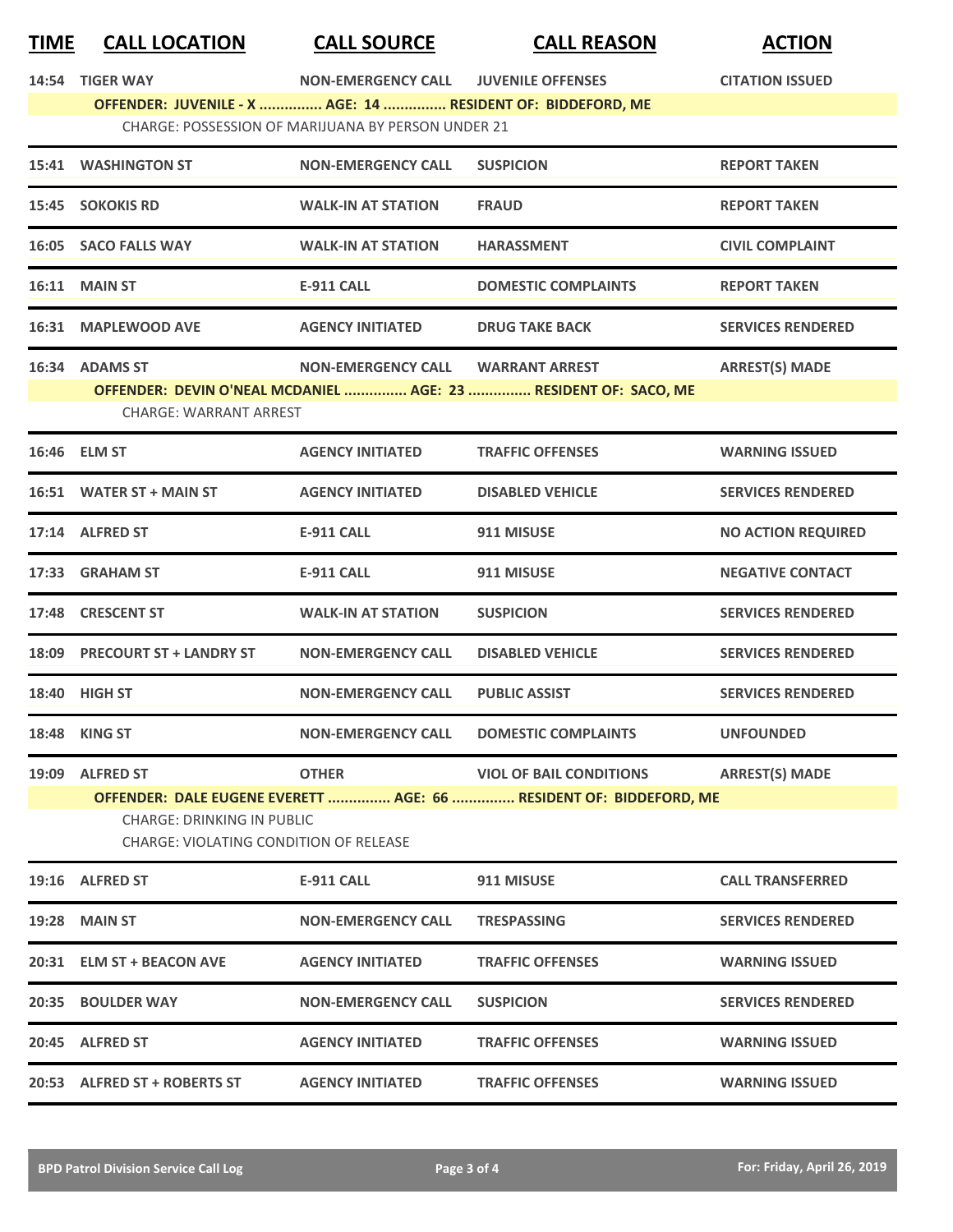| <b>TIME</b>                                        | <b>CALL LOCATION</b>                                                        | <b>CALL SOURCE</b>        | <b>CALL REASON</b>                                              | <b>ACTION</b>             |  |
|----------------------------------------------------|-----------------------------------------------------------------------------|---------------------------|-----------------------------------------------------------------|---------------------------|--|
|                                                    | 14:54 TIGER WAY                                                             | <b>NON-EMERGENCY CALL</b> | <b>JUVENILE OFFENSES</b>                                        | <b>CITATION ISSUED</b>    |  |
|                                                    | OFFENDER: JUVENILE - X  AGE: 14  RESIDENT OF: BIDDEFORD, ME                 |                           |                                                                 |                           |  |
| CHARGE: POSSESSION OF MARIJUANA BY PERSON UNDER 21 |                                                                             |                           |                                                                 |                           |  |
|                                                    | <b>15:41 WASHINGTON ST</b>                                                  | <b>NON-EMERGENCY CALL</b> | <b>SUSPICION</b>                                                | <b>REPORT TAKEN</b>       |  |
|                                                    | 15:45 SOKOKIS RD                                                            | <b>WALK-IN AT STATION</b> | <b>FRAUD</b>                                                    | <b>REPORT TAKEN</b>       |  |
|                                                    | 16:05 SACO FALLS WAY                                                        | <b>WALK-IN AT STATION</b> | <b>HARASSMENT</b>                                               | <b>CIVIL COMPLAINT</b>    |  |
|                                                    | <b>16:11 MAIN ST</b>                                                        | <b>E-911 CALL</b>         | <b>DOMESTIC COMPLAINTS</b>                                      | <b>REPORT TAKEN</b>       |  |
|                                                    | 16:31 MAPLEWOOD AVE                                                         | <b>AGENCY INITIATED</b>   | <b>DRUG TAKE BACK</b>                                           | <b>SERVICES RENDERED</b>  |  |
|                                                    | 16:34 ADAMS ST                                                              | <b>NON-EMERGENCY CALL</b> | <b>WARRANT ARREST</b>                                           | <b>ARREST(S) MADE</b>     |  |
|                                                    |                                                                             |                           | OFFENDER: DEVIN O'NEAL MCDANIEL  AGE: 23  RESIDENT OF: SACO, ME |                           |  |
|                                                    | <b>CHARGE: WARRANT ARREST</b>                                               |                           |                                                                 |                           |  |
|                                                    | 16:46 ELM ST                                                                | <b>AGENCY INITIATED</b>   | <b>TRAFFIC OFFENSES</b>                                         | <b>WARNING ISSUED</b>     |  |
|                                                    | 16:51 WATER ST + MAIN ST                                                    | <b>AGENCY INITIATED</b>   | <b>DISABLED VEHICLE</b>                                         | <b>SERVICES RENDERED</b>  |  |
|                                                    | 17:14 ALFRED ST                                                             | <b>E-911 CALL</b>         | 911 MISUSE                                                      | <b>NO ACTION REQUIRED</b> |  |
|                                                    | 17:33 GRAHAM ST                                                             | <b>E-911 CALL</b>         | 911 MISUSE                                                      | <b>NEGATIVE CONTACT</b>   |  |
|                                                    | 17:48 CRESCENT ST                                                           | <b>WALK-IN AT STATION</b> | <b>SUSPICION</b>                                                | <b>SERVICES RENDERED</b>  |  |
|                                                    | 18:09 PRECOURT ST + LANDRY ST                                               | <b>NON-EMERGENCY CALL</b> | <b>DISABLED VEHICLE</b>                                         | <b>SERVICES RENDERED</b>  |  |
|                                                    | 18:40 HIGH ST                                                               | <b>NON-EMERGENCY CALL</b> | <b>PUBLIC ASSIST</b>                                            | <b>SERVICES RENDERED</b>  |  |
|                                                    | 18:48 KING ST                                                               | <b>NON-EMERGENCY CALL</b> | <b>DOMESTIC COMPLAINTS</b>                                      | <b>UNFOUNDED</b>          |  |
|                                                    | 19:09 ALFRED ST                                                             | <b>OTHER</b>              | <b>VIOL OF BAIL CONDITIONS</b>                                  | <b>ARREST(S) MADE</b>     |  |
|                                                    | OFFENDER: DALE EUGENE EVERETT  AGE: 66  RESIDENT OF: BIDDEFORD, ME          |                           |                                                                 |                           |  |
|                                                    | <b>CHARGE: DRINKING IN PUBLIC</b><br>CHARGE: VIOLATING CONDITION OF RELEASE |                           |                                                                 |                           |  |
|                                                    | 19:16 ALFRED ST                                                             | <b>E-911 CALL</b>         | 911 MISUSE                                                      | <b>CALL TRANSFERRED</b>   |  |
|                                                    | <b>19:28 MAIN ST</b>                                                        | <b>NON-EMERGENCY CALL</b> | <b>TRESPASSING</b>                                              | <b>SERVICES RENDERED</b>  |  |
|                                                    | 20:31 ELM ST + BEACON AVE                                                   | <b>AGENCY INITIATED</b>   | <b>TRAFFIC OFFENSES</b>                                         | <b>WARNING ISSUED</b>     |  |
|                                                    | 20:35 BOULDER WAY                                                           | <b>NON-EMERGENCY CALL</b> | <b>SUSPICION</b>                                                | <b>SERVICES RENDERED</b>  |  |
|                                                    | 20:45 ALFRED ST                                                             | <b>AGENCY INITIATED</b>   | <b>TRAFFIC OFFENSES</b>                                         | <b>WARNING ISSUED</b>     |  |
|                                                    | 20:53 ALFRED ST + ROBERTS ST                                                | <b>AGENCY INITIATED</b>   | <b>TRAFFIC OFFENSES</b>                                         | <b>WARNING ISSUED</b>     |  |